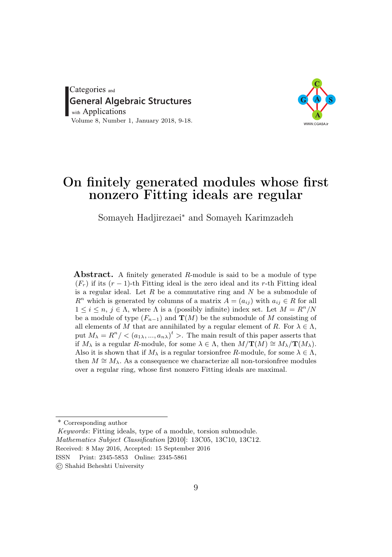Categories and General Algebraic Structures with Applications Volume 8, Number 1, January 2018, 9-18.



# On finitely generated modules whose first nonzero Fitting ideals are regular

Somayeh Hadjirezaei<sup>∗</sup> and Somayeh Karimzadeh

**Abstract.** A finitely generated R-module is said to be a module of type  $(F_r)$  if its  $(r-1)$ -th Fitting ideal is the zero ideal and its r-th Fitting ideal is a regular ideal. Let  $R$  be a commutative ring and  $N$  be a submodule of  $R^n$  which is generated by columns of a matrix  $A = (a_{ij})$  with  $a_{ij} \in R$  for all  $1 \leq i \leq n, j \in \Lambda$ , where  $\Lambda$  is a (possibly infinite) index set. Let  $M = R^n/N$ be a module of type  $(F_{n-1})$  and  $\mathbf{T}(M)$  be the submodule of M consisting of all elements of M that are annihilated by a regular element of R. For  $\lambda \in \Lambda$ , put  $M_{\lambda} = R^n / \langle (a_{1\lambda},...,a_{n\lambda})^t \rangle$ . The main result of this paper asserts that if  $M_\lambda$  is a regular R-module, for some  $\lambda \in \Lambda$ , then  $M/\mathbf{T}(M) \cong M_\lambda/\mathbf{T}(M_\lambda)$ . Also it is shown that if  $M_\lambda$  is a regular torsionfree R-module, for some  $\lambda \in \Lambda$ , then  $M \cong M_{\lambda}$ . As a consequence we characterize all non-torsion free modules over a regular ring, whose first nonzero Fitting ideals are maximal.

\* Corresponding author

Keywords: Fitting ideals, type of a module, torsion submodule. Mathematics Subject Classification [2010]: 13C05, 13C10, 13C12.

Received: 8 May 2016, Accepted: 15 September 2016

ISSN Print: 2345-5853 Online: 2345-5861

© Shahid Beheshti University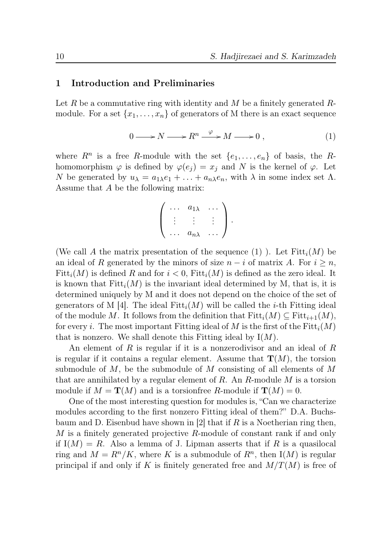#### 1 Introduction and Preliminaries

Let R be a commutative ring with identity and M be a finitely generated Rmodule. For a set  $\{x_1, \ldots, x_n\}$  of generators of M there is an exact sequence

$$
0 \longrightarrow N \longrightarrow R^n \xrightarrow{\varphi} M \longrightarrow 0 , \qquad (1)
$$

where  $R^n$  is a free R-module with the set  $\{e_1, \ldots, e_n\}$  of basis, the Rhomomorphism  $\varphi$  is defined by  $\varphi(e_j) = x_j$  and N is the kernel of  $\varphi$ . Let N be generated by  $u_{\lambda} = a_{1\lambda}e_1 + \ldots + a_{n\lambda}e_n$ , with  $\lambda$  in some index set  $\Lambda$ . Assume that A be the following matrix:

$$
\left(\begin{array}{ccc}\cdots & a_{1\lambda} & \cdots \\ \vdots & \vdots & \vdots \\ \cdots & a_{n\lambda} & \cdots\end{array}\right).
$$

(We call A the matrix presentation of the sequence (1)). Let  $Fitt_i(M)$  be an ideal of R generated by the minors of size  $n - i$  of matrix A. For  $i \geq n$ , Fitt<sub>i</sub> $(M)$  is defined R and for  $i < 0$ , Fitt<sub>i</sub> $(M)$  is defined as the zero ideal. It is known that  $Fitt_i(M)$  is the invariant ideal determined by M, that is, it is determined uniquely by M and it does not depend on the choice of the set of generators of M [4]. The ideal  $Fitt_i(M)$  will be called the *i*-th Fitting ideal of the module M. It follows from the definition that  $Fitt_i(M) \subseteq Fitt_{i+1}(M)$ , for every i. The most important Fitting ideal of M is the first of the  $Fitt_i(M)$ that is nonzero. We shall denote this Fitting ideal by  $I(M)$ .

An element of  $R$  is regular if it is a nonzerodivisor and an ideal of  $R$ is regular if it contains a regular element. Assume that  $\mathbf{T}(M)$ , the torsion submodule of  $M$ , be the submodule of  $M$  consisting of all elements of  $M$ that are annihilated by a regular element of  $R$ . An  $R$ -module  $M$  is a torsion module if  $M = \mathbf{T}(M)$  and is a torsion free R-module if  $\mathbf{T}(M) = 0$ .

One of the most interesting question for modules is, "Can we characterize modules according to the first nonzero Fitting ideal of them?" D.A. Buchsbaum and D. Eisenbud have shown in [2] that if  $R$  is a Noetherian ring then, M is a finitely generated projective R-module of constant rank if and only if  $I(M) = R$ . Also a lemma of J. Lipman asserts that if R is a quasilocal ring and  $M = R<sup>n</sup>/K$ , where K is a submodule of  $R<sup>n</sup>$ , then I(M) is regular principal if and only if K is finitely generated free and  $M/T(M)$  is free of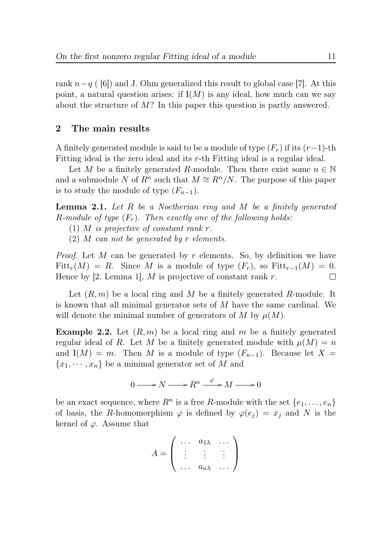rank  $n-q$  ( [6]) and J. Ohm generalized this result to global case [7]. At this point, a natural question arises: if  $I(M)$  is any ideal, how much can we say about the structure of M? In this paper this question is partly answered.

## 2 The main results

A finitely generated module is said to be a module of type  $(F_r)$  if its  $(r-1)$ -th Fitting ideal is the zero ideal and its r-th Fitting ideal is a regular ideal.

Let M be a finitely generated R-module. Then there exist some  $n \in \mathbb{N}$ and a submodule N of  $R^n$  such that  $M \cong R^n/N$ . The purpose of this paper is to study the module of type  $(F_{n-1})$ .

**Lemma 2.1.** Let  $R$  be a Noetherian ring and  $M$  be a finitely generated R-module of type  $(F_r)$ . Then exactly one of the following holds:

- (1) M is projective of constant rank  $r$ .
- (2) M can not be generated by r elements.

*Proof.* Let M can be generated by r elements. So, by definition we have Fitt<sub>r</sub>(M) = R. Since M is a module of type  $(F_r)$ , so Fitt<sub>r-1</sub>(M) = 0.<br>Hence by [2, Lemma 1], M is projective of constant rank r. Hence by [2, Lemma 1],  $M$  is projective of constant rank  $r$ .

Let  $(R, m)$  be a local ring and M be a finitely generated R-module. It is known that all minimal generator sets of M have the same cardinal. We will denote the minimal number of generators of M by  $\mu(M)$ .

**Example 2.2.** Let  $(R, m)$  be a local ring and m be a finitely generated regular ideal of R. Let M be a finitely generated module with  $\mu(M) = n$ and  $I(M) = m$ . Then M is a module of type  $(F_{n-1})$ . Because let X =  ${x_1, \dots, x_n}$  be a minimal generator set of M and

$$
0 \longrightarrow N \longrightarrow R^n \xrightarrow{\varphi} M \longrightarrow 0
$$

be an exact sequence, where  $R^n$  is a free R-module with the set  $\{e_1, \ldots, e_n\}$ of basis, the R-homomorphism  $\varphi$  is defined by  $\varphi(e_j) = x_j$  and N is the kernel of  $\varphi$ . Assume that

$$
A = \left( \begin{array}{ccc} \ldots & a_{1\lambda} & \ldots \\ \vdots & \vdots & \vdots \\ \ldots & a_{n\lambda} & \ldots \end{array} \right)
$$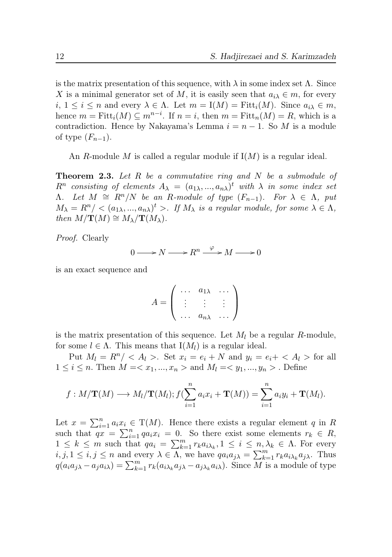is the matrix presentation of this sequence, with  $\lambda$  in some index set  $\Lambda$ . Since X is a minimal generator set of M, it is easily seen that  $a_{i\lambda} \in m$ , for every  $i, 1 \leq i \leq n$  and every  $\lambda \in \Lambda$ . Let  $m = I(M) = \text{Fitt}_i(M)$ . Since  $a_{i\lambda} \in m$ , hence  $m = \text{Fitt}_i(M) \subseteq m^{n-i}$ . If  $n = i$ , then  $m = \text{Fitt}_n(M) = R$ , which is a contradiction. Hence by Nakayama's Lemma  $i = n - 1$ . So M is a module of type  $(F_{n-1})$ .

An R-module M is called a regular module if  $I(M)$  is a regular ideal.

**Theorem 2.3.** Let  $R$  be a commutative ring and  $N$  be a submodule of  $R^n$  consisting of elements  $A_\lambda = (a_{1\lambda},...,a_{n\lambda})^t$  with  $\lambda$  in some index set  $\Lambda$ . Let  $M \cong R^n/N$  be an R-module of type  $(F_{n-1})$ . For  $\lambda \in \Lambda$ , put  $M_{\lambda} = R^n / \langle (a_{1\lambda},...,a_{n\lambda})^t \rangle$ . If  $M_{\lambda}$  is a regular module, for some  $\lambda \in \Lambda$ , then  $M/\mathbf{T}(M) \cong M_{\lambda}/\mathbf{T}(M_{\lambda}).$ 

Proof. Clearly

$$
0 \longrightarrow N \longrightarrow R^n \xrightarrow{\varphi} M \longrightarrow 0
$$

is an exact sequence and

$$
A = \left( \begin{array}{ccc} \ldots & a_{1\lambda} & \ldots \\ \vdots & \vdots & \vdots \\ \ldots & a_{n\lambda} & \ldots \end{array} \right)
$$

is the matrix presentation of this sequence. Let  $M_l$  be a regular R-module, for some  $l \in \Lambda$ . This means that  $I(M_l)$  is a regular ideal.

Put  $M_l = R^n / \langle A_l \rangle$ . Set  $x_i = e_i + N$  and  $y_i = e_i + \langle A_l \rangle$  for all  $1 \leq i \leq n$ . Then  $M = \langle x_1, ..., x_n \rangle$  and  $M_l = \langle y_1, ..., y_n \rangle$ . Define

$$
f: M/\mathbf{T}(M) \longrightarrow M_l/\mathbf{T}(M_l); f(\sum_{i=1}^n a_i x_i + \mathbf{T}(M)) = \sum_{i=1}^n a_i y_i + \mathbf{T}(M_l).
$$

Let  $x = \sum_{i=1}^n a_i x_i \in T(M)$ . Hence there exists a regular element q in R such that  $qx = \sum_{i=1}^{n} qa_i x_i = 0$ . So there exist some elements  $r_k \in R$ ,  $1 \leq k \leq m$  such that  $qa_i = \sum_{k=1}^m r_k a_{i\lambda_k}, 1 \leq i \leq n, \lambda_k \in \Lambda$ . For every  $i, j, 1 \leq i, j \leq n$  and every  $\lambda \in \Lambda$ , we have  $qa_i a_{j\lambda} = \sum_{k=1}^m r_k a_{i\lambda_k} a_{j\lambda}$ . Thus  $q(a_i a_{j\lambda} - a_j a_{i\lambda}) = \sum_{k=1}^m r_k (a_{i\lambda_k} a_{j\lambda} - a_{j\lambda_k} a_{i\lambda}).$  Since  $\overline{M}$  is a module of type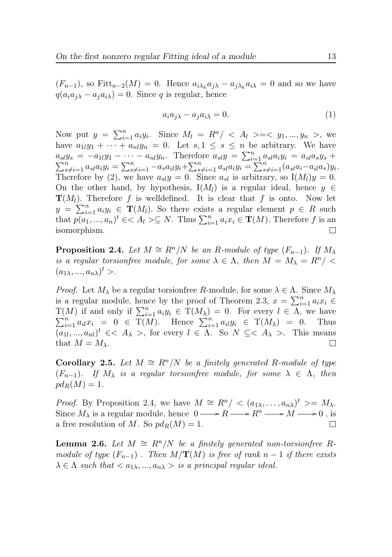$(F_{n-1})$ , so  $Fitt_{n-2}(M) = 0$ . Hence  $a_{i\lambda_k}a_{j\lambda} - a_{j\lambda_k}a_{i\lambda} = 0$  and so we have  $q(a_i a_j) - a_j a_k) = 0$ . Since q is regular, hence

$$
a_i a_{j\lambda} - a_j a_{i\lambda} = 0.
$$
 (1)

Now put  $y = \sum_{i=1}^{n} a_i y_i$ . Since  $M_l = R^n / \langle A_l \rangle = \langle y_1, ..., y_n \rangle$ , we have  $a_{1l}y_1 + \cdots + a_{nl}y_n = 0$ . Let  $s, 1 \leq s \leq n$  be arbitrary. We have  $a_{sl}y_s = -a_{1l}y_1 - \cdots - a_{nl}y_n$ . Therefore  $a_{sl}y = \sum_{i=1}^n a_{sl}a_iy_i = a_{sl}a_sy_s +$  $\sum_{s \neq i=1}^n a_{sl} a_i y_i = \sum_{s \neq i=1}^n -a_s a_{il} y_i + \sum_{s \neq i=1}^n a_{sl} a_i y_i = \sum_{s \neq i=1}^n (a_{sl} a_i - a_{il} a_s) y_i.$ Therefore by (2), we have  $a_{sl}y = 0$ . Since  $a_{sl}$  is arbitrary, so  $I(M_l)y = 0$ . On the other hand, by hypothesis,  $I(M_l)$  is a regular ideal, hence  $y \in$  $\mathbf{T}(M_l)$ . Therefore f is welldefined. It is clear that f is onto. Now let  $y = \sum_{i=1}^{n} a_i y_i \in \mathbf{T}(M_l)$ . So there exists a regular element  $p \in R$  such that  $p(a_1, ..., a_n)^t \in < A_l > \subseteq N$ . Thus  $\sum_{i=1}^n a_i x_i \in \mathbf{T}(M)$ . Therefore f is an isomorphism.  $\Box$ 

**Proposition 2.4.** Let  $M \cong R^n/N$  be an R-module of type  $(F_{n-1})$ . If  $M_\lambda$ is a regular torsion free module, for some  $\lambda \in \Lambda$ , then  $M = M_{\lambda} = R^n / \langle$  $(a_{1\lambda},...,a_{n\lambda})^t$ .

*Proof.* Let  $M_{\lambda}$  be a regular torsionfree R-module, for some  $\lambda \in \Lambda$ . Since  $M_{\lambda}$ is a regular module, hence by the proof of Theorem 2.3,  $x = \sum_{i=1}^{n} a_i x_i \in$  $T(M)$  if and only if  $\sum_{i=1}^{n} a_i y_i \in T(M_\lambda) = 0$ . For every  $l \in \Lambda$ , we have  $\sum_{i=1}^{n} a_{il} x_i = 0 \in \overline{\mathrm{T}(M)}$ . Hence  $\sum_{i=1}^{n} a_{il} y_i \in \mathrm{T}(M_\lambda) = 0$ . Thus  $(a_{1l},...,a_{nl})^t \in < A_\lambda >$ , for every  $l \in \Lambda$ . So  $N \subseteq < A_\lambda >$ . This means that  $M = M_{\lambda}$ .

Corollary 2.5. Let  $M \cong R^n/N$  be a finitely generated R-module of type  $(F_{n-1})$ . If  $M_{\lambda}$  is a regular torsionfree module, for some  $\lambda \in \Lambda$ , then  $pd_R(M) = 1.$ 

*Proof.* By Proposition 2.4, we have  $M \cong R^n / \langle (a_{1\lambda}, \ldots, a_{n\lambda})^t \rangle = M_{\lambda}$ . Since  $M_{\lambda}$  is a regular module, hence  $0 \longrightarrow R \longrightarrow R^{n} \longrightarrow M \longrightarrow 0$ , is a free resolution of M. So  $pd_R(M) = 1$ .  $\Box$ 

**Lemma 2.6.** Let  $M \cong \mathbb{R}^n/N$  be a finitely generated non-torsionfree Rmodule of type  $(F_{n-1})$ . Then  $M/\mathbf{T}(M)$  is free of rank  $n-1$  if there exists  $\lambda \in \Lambda$  such that  $\langle a_{1\lambda},...,a_{n\lambda}\rangle$  is a principal regular ideal.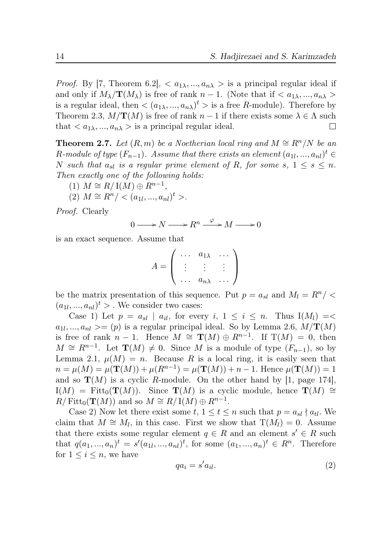*Proof.* By [7, Theorem 6.2],  $\langle a_{1\lambda},...,a_{n\lambda}\rangle$  is a principal regular ideal if and only if  $M_\lambda/\mathbf{T}(M_\lambda)$  is free of rank  $n-1$ . (Note that if  $\langle a_{1\lambda},...,a_{n\lambda}\rangle$ is a regular ideal, then  $\langle (a_{1\lambda},...,a_{n\lambda})^t \rangle$  is a free R-module). Therefore by Theorem 2.3,  $M/\mathbf{T}(M)$  is free of rank  $n-1$  if there exists some  $\lambda \in \Lambda$  such that  $\langle a_{1\lambda},...,a_{n\lambda}\rangle$  is a principal regular ideal.  $\perp$ 

**Theorem 2.7.** Let  $(R, m)$  be a Noetherian local ring and  $M \cong R^n/N$  be an  $R$ -module of type  $(F_{n-1})$ . Assume that there exists an element  $(a_{1l},...,a_{nl})^t \in$ N such that  $a_{sl}$  is a regular prime element of R, for some s,  $1 \leq s \leq n$ . Then exactly one of the following holds:

- (1)  $M \cong R/\operatorname{I}(M) \oplus R^{n-1},$
- (2)  $M \cong R^n / \langle (a_{1l},...,a_{nl})^t \rangle$ .

Proof. Clearly

$$
0 \longrightarrow N \longrightarrow R^n \xrightarrow{\varphi} M \longrightarrow 0
$$

is an exact sequence. Assume that

$$
A = \left( \begin{array}{ccc} \cdots & a_{1\lambda} & \cdots \\ \vdots & \vdots & \vdots \\ \cdots & a_{n\lambda} & \cdots \end{array} \right)
$$

be the matrix presentation of this sequence. Put  $p = a_{sl}$  and  $M_l = R^n / \langle$  $(a_{1l},...,a_{nl})^t$  > . We consider two cases:

Case 1) Let  $p = a_{sl} \mid a_{il}$ , for every  $i, 1 \le i \le n$ . Thus  $I(M_l) = \langle a_{il} \rangle$  $a_{1l},...,a_{nl} \rangle = (p)$  is a regular principal ideal. So by Lemma 2.6,  $M/\mathbf{T}(M)$ is free of rank  $n-1$ . Hence  $M \cong \mathbf{T}(M) \oplus R^{n-1}$ . If  $\mathbf{T}(M) = 0$ , then  $M \cong R^{n-1}$ . Let  $\mathbf{T}(M) \neq 0$ . Since M is a module of type  $(F_{n-1})$ , so by Lemma 2.1,  $\mu(M) = n$ . Because R is a local ring, it is easily seen that  $n = \mu(M) = \mu(\mathbf{T}(M)) + \mu(R^{n-1}) = \mu(\mathbf{T}(M)) + n - 1$ . Hence  $\mu(\mathbf{T}(M)) = 1$ and so  $\mathbf{T}(M)$  is a cyclic R-module. On the other hand by [1, page 174],  $I(M) = \text{Fitt}_0(\mathbf{T}(M)).$  Since  $\mathbf{T}(M)$  is a cyclic module, hence  $\mathbf{T}(M) \cong$  $R/\text{Fitt}_0(\mathbf{T}(M))$  and so  $M \cong R/\text{I}(M) \oplus R^{n-1}$ .

Case 2) Now let there exist some  $t, 1 \le t \le n$  such that  $p = a_{sl} \nmid a_{tl}$ . We claim that  $M \cong M_l$ , in this case. First we show that  $T(M_l) = 0$ . Assume that there exists some regular element  $q \in R$  and an element  $s' \in R$  such that  $q(a_1, ..., a_n)^t = s'(a_{1l}, ..., a_{nl})^t$ , for some  $(a_1, ..., a_n)^t \in R^n$ . Therefore for  $1 \leq i \leq n$ , we have

$$
qa_i = s'a_{il}.\tag{2}
$$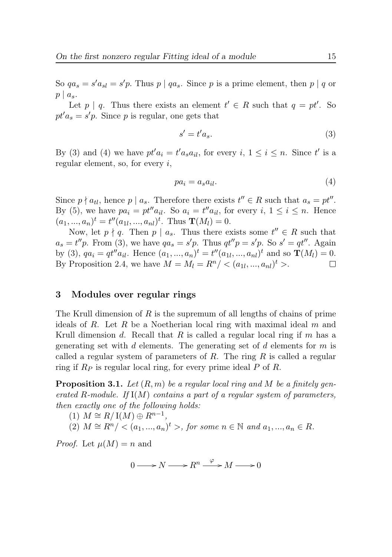So  $qa_s = s'a_{sl} = s'p$ . Thus  $p \mid qa_s$ . Since p is a prime element, then  $p \mid q$  or  $p \mid a_s$ .

Let  $p \mid q$ . Thus there exists an element  $t' \in R$  such that  $q = pt'$ . So  $pt'a_s = s'p$ . Since p is regular, one gets that

$$
s' = t'a_s. \tag{3}
$$

By (3) and (4) we have  $pt'a_i = t'a_s a_{il}$ , for every  $i, 1 \le i \le n$ . Since  $t'$  is a regular element, so, for every  $i$ ,

$$
pa_i = a_s a_{il}.\tag{4}
$$

Since  $p \nmid a_{tl}$ , hence  $p \mid a_s$ . Therefore there exists  $t'' \in R$  such that  $a_s = pt''$ . By (5), we have  $pa_i = pt''a_{il}$ . So  $a_i = t''a_{il}$ , for every  $i, 1 \le i \le n$ . Hence  $(a_1, ..., a_n)^t = t''(a_{1l}, ..., a_{nl})^t$ . Thus  $\mathbf{T}(M_l) = 0$ .

Now, let  $p \nmid q$ . Then  $p \mid a_s$ . Thus there exists some  $t'' \in R$  such that  $a_s = t''p$ . From (3), we have  $qa_s = s'p$ . Thus  $qt''p = s'p$ . So  $s' = qt''$ . Again by (3),  $qa_i = qt''a_{il}$ . Hence  $(a_1, ..., a_n)^t = t''(a_{1l}, ..., a_{nl})^t$  and so  $\mathbf{T}(M_l) = 0$ . By Proposition 2.4, we have  $M = M_l = R^n / \langle (a_{1l}, ..., a_{nl})^t \rangle$ .  $\Box$ 

## 3 Modules over regular rings

The Krull dimension of R is the supremum of all lengths of chains of prime ideals of  $R$ . Let  $R$  be a Noetherian local ring with maximal ideal  $m$  and Krull dimension d. Recall that R is called a regular local ring if m has a generating set with d elements. The generating set of d elements for  $m$  is called a regular system of parameters of R. The ring R is called a regular ring if  $R_P$  is regular local ring, for every prime ideal  $P$  of  $R$ .

**Proposition 3.1.** Let  $(R, m)$  be a regular local ring and M be a finitely generated R-module. If  $I(M)$  contains a part of a regular system of parameters, then exactly one of the following holds:

(1) 
$$
M \cong R/\mathbb{I}(M) \oplus R^{n-1}
$$
,  
(2)  $M \cong R^n / \langle (a_1, ..., a_n)^t \rangle$ , for some  $n \in \mathbb{N}$  and  $a_1, ..., a_n \in R$ .

*Proof.* Let  $\mu(M) = n$  and

$$
0 \longrightarrow N \longrightarrow R^n \xrightarrow{\varphi} M \longrightarrow 0
$$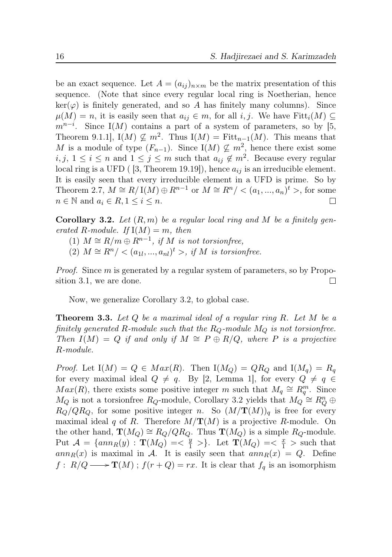be an exact sequence. Let  $A = (a_{ij})_{n \times m}$  be the matrix presentation of this sequence. (Note that since every regular local ring is Noetherian, hence  $\ker(\varphi)$  is finitely generated, and so A has finitely many columns). Since  $\mu(M) = n$ , it is easily seen that  $a_{ij} \in m$ , for all  $i, j$ . We have Fitt $_i(M) \subseteq$  $m^{n-i}$ . Since I(M) contains a part of a system of parameters, so by [5, Theorem 9.1.1,  $I(M) \nsubseteq m^2$ . Thus  $I(M) = \text{Fitt}_{n-1}(M)$ . This means that M is a module of type  $(F_{n-1})$ . Since I $(M) \nsubseteq m^2$ , hence there exist some  $i, j, 1 \leq i \leq n$  and  $1 \leq j \leq m$  such that  $a_{ij} \notin m^2$ . Because every regular local ring is a UFD ( [3, Theorem 19.19]), hence  $a_{ij}$  is an irreducible element. It is easily seen that every irreducible element in a UFD is prime. So by Theorem 2.7,  $M \cong R/\mathbb{I}(M) \oplus R^{n-1}$  or  $M \cong R^n/ < (a_1, ..., a_n)^t >$ , for some  $n \in \mathbb{N}$  and  $a_i \in R, 1 \leq i \leq n$ .  $\Box$ 

**Corollary 3.2.** Let  $(R, m)$  be a regular local ring and M be a finitely generated R-module. If  $I(M) = m$ , then

(1)  $M \cong R/m \oplus R^{n-1}$ , if M is not torsionfree,

(2)  $M \cong R^n / \langle (a_{1l},...,a_{nl})^t \rangle$ , if M is torsion free.

Proof. Since m is generated by a regular system of parameters, so by Proposition 3.1, we are done. □

Now, we generalize Corollary 3.2, to global case.

**Theorem 3.3.** Let  $Q$  be a maximal ideal of a regular ring  $R$ . Let  $M$  be a finitely generated R-module such that the  $R_Q$ -module  $M_Q$  is not torsionfree. Then  $I(M) = Q$  if and only if  $M \cong P \oplus R/Q$ , where P is a projective R-module.

*Proof.* Let  $I(M) = Q \in Max(R)$ . Then  $I(M_Q) = QR_Q$  and  $I(M_q) = R_q$ for every maximal ideal  $Q \neq q$ . By [2, Lemma 1], for every  $Q \neq q \in$  $Max(R)$ , there exists some positive integer m such that  $M_q \cong R_q^m$ . Since  $M_Q$  is not a torsion<br>free  $R_Q$ -module, Corollary 3.2 yields that  $M_Q \cong R_Q^n \oplus$  $R_Q/QR_Q$ , for some positive integer n. So  $(M/\mathbf{T}(M))_q$  is free for every maximal ideal q of R. Therefore  $M/\mathbf{T}(M)$  is a projective R-module. On the other hand,  $\mathbf{T}(M_Q) \cong R_Q/QR_Q$ . Thus  $\mathbf{T}(M_Q)$  is a simple  $R_Q$ -module. Put  $\mathcal{A} = \{ann_R(y) : \mathbf{T}(M_Q) = \langle \frac{y}{1} \rangle \}$ . Let  $\mathbf{T}(M_Q) = \langle \frac{x}{1} \rangle$  such that ann<sub>R</sub>(x) is maximal in A. It is easily seen that  $ann_R(x) = Q$ . Define  $f: R/Q \longrightarrow \mathbf{T}(M)$ ;  $f(r+Q) = rx$ . It is clear that  $f_q$  is an isomorphism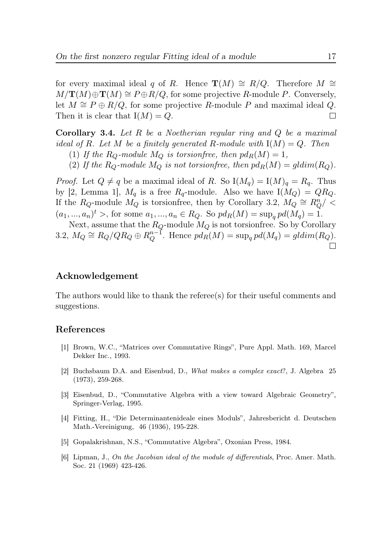for every maximal ideal q of R. Hence  $\mathbf{T}(M) \cong R/Q$ . Therefore  $M \cong$  $M/\mathbf{T}(M)\oplus \mathbf{T}(M)\cong P\oplus R/Q$ , for some projective R-module P. Conversely, let  $M \cong P \oplus R/Q$ , for some projective R-module P and maximal ideal Q.<br>Then it is clear that  $I(M) = Q$ Then it is clear that  $I(M) = Q$ .

**Corollary 3.4.** Let R be a Noetherian regular ring and  $Q$  be a maximal ideal of R. Let M be a finitely generated R-module with  $I(M) = Q$ . Then

(1) If the  $R_Q$ -module  $M_Q$  is torsionfree, then  $pd_R(M) = 1$ ,

(2) If the  $R_Q$ -module  $M_Q$  is not torsionfree, then  $pd_R(M) = gldim(R_Q)$ .

*Proof.* Let  $Q \neq q$  be a maximal ideal of R. So  $I(M_q) = I(M)_q = R_q$ . Thus by [2, Lemma 1],  $M_q$  is a free  $R_q$ -module. Also we have  $I(M_Q) = QR_Q$ . If the  $R_Q$ -module  $M_Q$  is torsion<br>free, then by Corollary 3.2,  $M_Q \cong R_Q^n / \langle$  $(a_1, ..., a_n)^t$ , for some  $a_1, ..., a_n \in R_Q$ . So  $pd_R(M) = \sup_q pd(M_q) = 1$ .

Next, assume that the  $R_Q$ -module  $M_Q$  is not torsionfree. So by Corollary 3.2,  $M_Q \cong R_Q/QR_Q \oplus R_Q^{n-1}$ . Hence  $pd_R(M) = \sup_q pd(M_q) = gldim(R_Q)$ .

## Acknowledgement

The authors would like to thank the referee(s) for their useful comments and suggestions.

#### References

- [1] Brown, W.C., "Matrices over Commutative Rings", Pure Appl. Math. 169, Marcel Dekker Inc., 1993.
- [2] Buchsbaum D.A. and Eisenbud, D., What makes a complex exact?, J. Algebra 25 (1973), 259-268.
- [3] Eisenbud, D., "Commutative Algebra with a view toward Algebraic Geometry", Springer-Verlag, 1995.
- [4] Fitting, H., "Die Determinantenideale eines Moduls", Jahresbericht d. Deutschen Math.-Vereinigung, 46 (1936), 195-228.
- [5] Gopalakrishnan, N.S., "Commutative Algebra", Oxonian Press, 1984.
- [6] Lipman, J., On the Jacobian ideal of the module of differentials, Proc. Amer. Math. Soc. 21 (1969) 423-426.